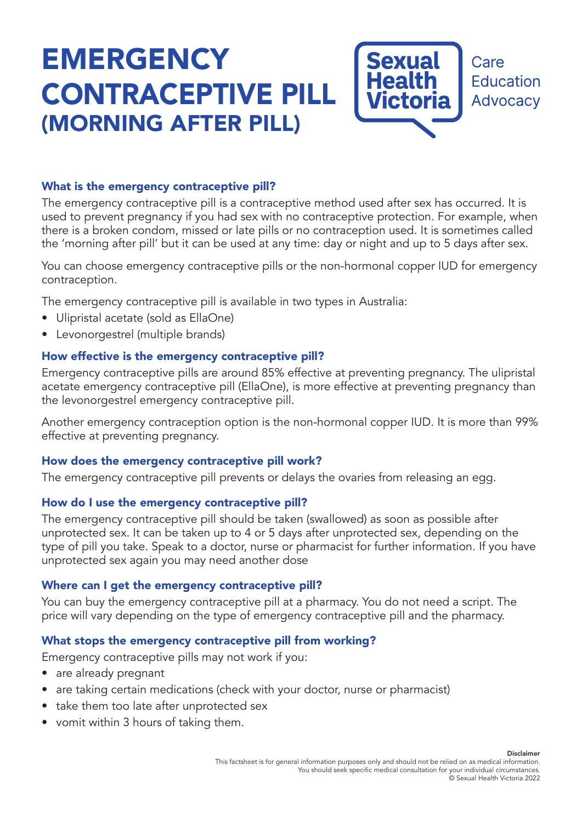# **EMERGENCY** CONTRACEPTIVE PILL (MORNING AFTER PILL)



Care **Education Advocacy** 

## What is the emergency contraceptive pill?

The emergency contraceptive pill is a contraceptive method used after sex has occurred. It is used to prevent pregnancy if you had sex with no contraceptive protection. For example, when there is a broken condom, missed or late pills or no contraception used. It is sometimes called the 'morning after pill' but it can be used at any time: day or night and up to 5 days after sex.

You can choose emergency contraceptive pills or the non-hormonal copper IUD for emergency contraception.

The emergency contraceptive pill is available in two types in Australia:

- Ulipristal acetate (sold as EllaOne)
- Levonorgestrel (multiple brands)

#### How effective is the emergency contraceptive pill?

Emergency contraceptive pills are around 85% effective at preventing pregnancy. The ulipristal acetate emergency contraceptive pill (EllaOne), is more effective at preventing pregnancy than the levonorgestrel emergency contraceptive pill.

Another emergency contraception option is the non-hormonal copper IUD. It is more than 99% effective at preventing pregnancy.

#### How does the emergency contraceptive pill work?

The emergency contraceptive pill prevents or delays the ovaries from releasing an egg.

#### How do I use the emergency contraceptive pill?

The emergency contraceptive pill should be taken (swallowed) as soon as possible after unprotected sex. It can be taken up to 4 or 5 days after unprotected sex, depending on the type of pill you take. Speak to a doctor, nurse or pharmacist for further information. If you have unprotected sex again you may need another dose

#### Where can I get the emergency contraceptive pill?

You can buy the emergency contraceptive pill at a pharmacy. You do not need a script. The price will vary depending on the type of emergency contraceptive pill and the pharmacy.

#### What stops the emergency contraceptive pill from working?

Emergency contraceptive pills may not work if you:

- are already pregnant
- are taking certain medications (check with your doctor, nurse or pharmacist)
- take them too late after unprotected sex
- vomit within 3 hours of taking them.